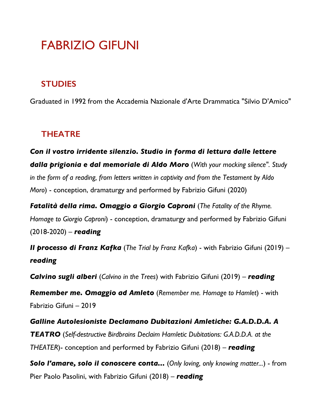# FABRIZIO GIFUNI

## **STUDIES**

Graduated in 1992 from the Accademia Nazionale d'Arte Drammatica "Silvio D'Amico"

## **THEATRE**

*Con il vostro irridente silenzio. Studio in forma di lettura dalle lettere dalla prigionia e dal memoriale di Aldo Moro* (*With your mocking silence". Study in the form of a reading, from letters written in captivity and from the Testament by Aldo Moro*) - conception, dramaturgy and performed by Fabrizio Gifuni (2020)

*Fatalità della rima. Omaggio a Giorgio Caproni* (*The Fatality of the Rhyme. Homage to Giorgio Caproni*) - conception, dramaturgy and performed by Fabrizio Gifuni (2018-2020) – *reading*

*Il processo di Franz Kafka* (*The Trial by Franz Kafka*) - with Fabrizio Gifuni (2019) – *reading*

*Calvino sugli alberi* (*Calvino in the Trees*) with Fabrizio Gifuni (2019) – *reading*

*Remember me. Omaggio ad Amleto* (*Remember me. Homage to Hamlet*) - with Fabrizio Gifuni – 2019

*Galline Autolesioniste Declamano Dubitazioni Amletiche: G.A.D.D.A. A TEATRO* (*Self-destructive Birdbrains Declaim Hamletic Dubitations: G.A.D.D.A. at the THEATER*)- conception and performed by Fabrizio Gifuni (2018) – *reading*

*Solo l'amare, solo il conoscere conta...* (*Only loving, only knowing matter...*) - from Pier Paolo Pasolini, with Fabrizio Gifuni (2018) – *reading*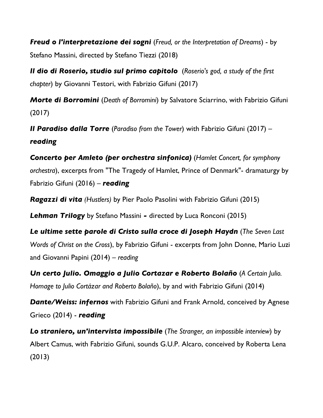*Freud o l'interpretazione dei sogni* (*Freud, or the Interpretation of Dreams*) - by Stefano Massini, directed by Stefano Tiezzi (2018)

*Il dio di Roserio, studio sul primo capitolo* (*Roserio's god, a study of the first chapter*) by Giovanni Testori, with Fabrizio Gifuni (2017)

*Morte di Borromini* (*Death of Borromini*) by Salvatore Sciarrino, with Fabrizio Gifuni (2017)

*Il Paradiso dalla Torre* (*Paradiso from the Tower*) with Fabrizio Gifuni (2017) – *reading*

*Concerto per Amleto (per orchestra sinfonica)* (*Hamlet Concert, for symphony orchestra*), excerpts from "The Tragedy of Hamlet, Prince of Denmark"- dramaturgy by Fabrizio Gifuni (2016) – *reading*

*Ragazzi di vita (Hustlers)* by Pier Paolo Pasolini with Fabrizio Gifuni (2015)

*Lehman Trilogy* by Stefano Massini *-* directed by Luca Ronconi (2015)

*Le ultime sette parole di Cristo sulla croce di Joseph Haydn* (*The Seven Last Words of Christ on the Cross*), by Fabrizio Gifuni - excerpts from John Donne, Mario Luzi and Giovanni Papini (2014) – *reading*

*Un certo Julio. Omaggio a Julio Cortazar e Roberto Bolaño* (*A Certain Julio. Homage to Julio Cortázar and Roberto Bolaño*), by and with Fabrizio Gifuni (2014)

*Dante/Weiss: infernos* with Fabrizio Gifuni and Frank Arnold, conceived by Agnese Grieco (2014) - *reading*

*Lo straniero, un'intervista impossibile* (*The Stranger, an impossible interview*) by Albert Camus, with Fabrizio Gifuni, sounds G.U.P. Alcaro, conceived by Roberta Lena (2013)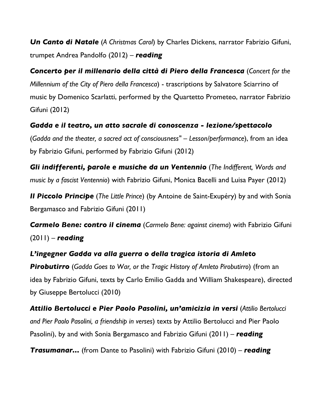*Un Canto di Natale* (*A Christmas Carol*) by Charles Dickens, narrator Fabrizio Gifuni, trumpet Andrea Pandolfo (2012) – *reading*

*Concerto per il millenario della città di Piero della Francesca* (*Concert for the Millennium of the City of Piero della Francesca*) - trascriptions by Salvatore Sciarrino of music by Domenico Scarlatti, performed by the Quartetto Prometeo, narrator Fabrizio Gifuni (2012)

*Gadda e il teatro, un atto sacrale di conoscenza - lezione/spettacolo* (*Gadda and the theater, a sacred act of consciousness" – Lesson/performance*), from an idea by Fabrizio Gifuni, performed by Fabrizio Gifuni (2012)

*Gli indifferenti, parole e musiche da un Ventennio* (*The Indifferent, Words and music by a fascist Ventennio*) with Fabrizio Gifuni, Monica Bacelli and Luisa Payer (2012)

*Il Piccolo Principe* (*The Little Prince*) (by Antoine de Saint-Exupéry) by and with Sonia Bergamasco and Fabrizio Gifuni (2011)

*Carmelo Bene: contro il cinema* (*Carmelo Bene: against cinema*) with Fabrizio Gifuni (2011) – *reading*

*L'ingegner Gadda va alla guerra o della tragica istoria di Amleto Pirobutirro* (*Gadda Goes to War, or the Tragic History of Amleto Pirobutirro*) (from an idea by Fabrizio Gifuni, texts by Carlo Emilio Gadda and William Shakespeare), directed by Giuseppe Bertolucci (2010)

*Attilio Bertolucci e Pier Paolo Pasolini, un'amicizia in versi* (*Attilio Bertolucci and Pier Paolo Pasolini, a friendship in verses*) texts by Attilio Bertolucci and Pier Paolo Pasolini), by and with Sonia Bergamasco and Fabrizio Gifuni (2011) – *reading*

*Trasumanar...* (from Dante to Pasolini) with Fabrizio Gifuni (2010) – *reading*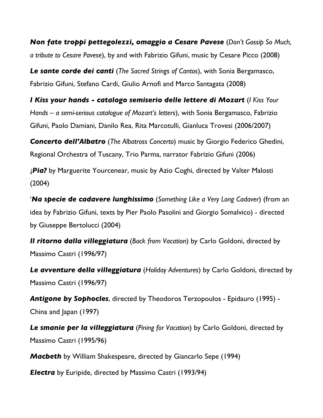*Non fate troppi pettegolezzi, omaggio a Cesare Pavese* (*Don't Gossip So Much, a tribute to Cesare Pavese*), by and with Fabrizio Gifuni, music by Cesare Picco (2008)

*Le sante corde dei canti* (*The Sacred Strings of Cantos*), with Sonia Bergamasco, Fabrizio Gifuni, Stefano Cardi, Giulio Arnofi and Marco Santagata (2008)

*I Kiss your hands - catalogo semiserio delle lettere di Mozart* (*I Kiss Your Hands – a semi-serious catalogue of Mozart's letters*), with Sonia Bergamasco, Fabrizio Gifuni, Paolo Damiani, Danilo Rea, Rita Marcotulli, Gianluca Trovesi (2006/2007)

*Concerto dell'Albatro* (*The Albatross Concerto*) music by Giorgio Federico Ghedini, Regional Orchestra of Tuscany, Trio Parma, narrator Fabrizio Gifuni (2006)

¿*Pia?* by Marguerite Yourcenear, music by Azio Coghi, directed by Valter Malosti (2004)

'*Na specie de cadavere lunghissimo* (*Something Like a Very Long Cadaver*) (from an idea by Fabrizio Gifuni, texts by Pier Paolo Pasolini and Giorgio Somalvico) - directed by Giuseppe Bertolucci (2004)

*Il ritorno dalla villeggiatura* (*Back from Vacation*) by Carlo Goldoni, directed by Massimo Castri (1996/97)

*Le avventure della villeggiatura* (*Holiday Adventures*) by Carlo Goldoni, directed by Massimo Castri (1996/97)

*Antigone by Sophocles*, directed by Theodoros Terzopoulos - Epidauro (1995) - China and Japan (1997)

*Le smanie per la villeggiatura* (*Pining for Vacation*) by Carlo Goldoni, directed by Massimo Castri (1995/96)

*Macbeth* by William Shakespeare, directed by Giancarlo Sepe (1994)

*Electra* by Euripide, directed by Massimo Castri (1993/94)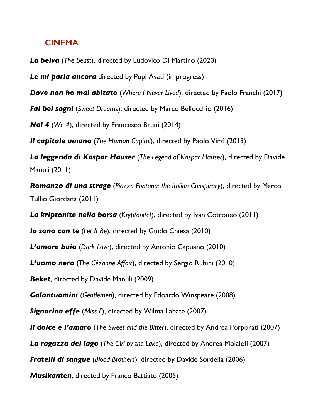## **CINEMA**

*La belva* (*The Beast*), directed by Ludovico Di Martino (2020)

*Le mi parla ancora* directed by Pupi Avati (in progress)

*Dove non ho mai abitato* (*Where I Never Lived*), directed by Paolo Franchi (2017)

*Fai bei sogni* (*Sweet Dreams*), directed by Marco Bellocchio (2016)

*Noi 4* (*We 4*), directed by Francesco Bruni (2014)

*Il capitale umano* (*The Human Capital*), directed by Paolo Virzì (2013)

*La leggenda di Kaspar Hauser* (*The Legend of Kaspar Hauser*), directed by Davide Manuli (2011)

*Romanzo di una strage* (*Piazza Fontana: the Italian Conspiracy*), directed by Marco Tullio Giordana (2011)

*La kriptonite nella borsa* (*Kryptonite!*), directed by Ivan Cotroneo (2011)

*Io sono con te* (*Let It Be*), directed by Guido Chiesa (2010)

*L'amore buio* (*Dark Love*), directed by Antonio Capuano (2010)

*L'uomo nero* (*The Cézanne Affair*), directed by Sergio Rubini (2010)

*Beket*, directed by Davide Manuli (2009)

*Galantuomini* (*Gentlemen*), directed by Edoardo Winspeare (2008)

*Signorina effe* (*Miss F*), directed by Wilma Labate (2007)

*Il dolce e l'amaro* (*The Sweet and the Bitter*), directed by Andrea Porporati (2007)

*La ragazza del lago* (*The Girl by the Lake*), directed by Andrea Molaioli (2007)

*Fratelli di sangue* (*Blood Brothers*), directed by Davide Sordella (2006)

*Musikanten*, directed by Franco Battiato (2005)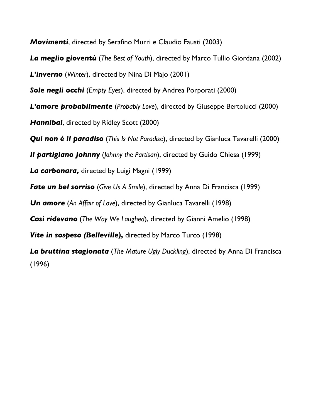*Movimenti*, directed by Serafino Murri e Claudio Fausti (2003)

*La meglio gioventù* (*The Best of Youth*), directed by Marco Tullio Giordana (2002)

*L'inverno* (*Winter*), directed by Nina Di Majo (2001)

*Sole negli occhi* (*Empty Eyes*), directed by Andrea Porporati (2000)

*L'amore probabilmente* (*Probably Love*), directed by Giuseppe Bertolucci (2000)

*Hannibal*, directed by Ridley Scott (2000)

*Qui non è il paradiso* (*This Is Not Paradise*), directed by Gianluca Tavarelli (2000)

*Il partigiano Johnny* (*Johnny the Partisan*), directed by Guido Chiesa (1999)

*La carbonara,* directed by Luigi Magni (1999)

*Fate un bel sorriso* (*Give Us A Smile*), directed by Anna Di Francisca (1999)

*Un amore* (*An Affair of Love*), directed by Gianluca Tavarelli (1998)

*Così ridevano* (*The Way We Laughed*), directed by Gianni Amelio (1998)

*Vite in sospeso (Belleville),* directed by Marco Turco (1998)

*La bruttina stagionata* (*The Mature Ugly Duckling*), directed by Anna Di Francisca (1996)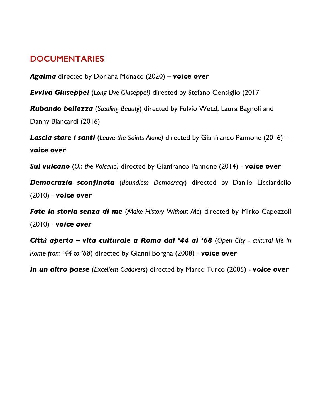# **DOCUMENTARIES**

*Agalma* directed by Doriana Monaco (2020) – *voice over*

*Evviva Giuseppe!* (*Long Live Giuseppe!)* directed by Stefano Consiglio (2017

*Rubando bellezza* (*Stealing Beauty*) directed by Fulvio Wetzl, Laura Bagnoli and Danny Biancardi (2016)

*Lascia stare i santi* (*Leave the Saints Alone)* directed by Gianfranco Pannone (2016) – *voice over*

*Sul vulcano* (*On the Volcano)* directed by Gianfranco Pannone (2014) - *voice over*

*Democrazia sconfinata* (*Boundless Democracy*) directed by Danilo Licciardello (2010) - *voice over*

*Fate la storia senza di me* (*Make History Without Me*) directed by Mirko Capozzoli (2010) - *voice over*

*Città aperta – vita culturale a Roma dal '44 al '68* (*Open City - cultural life in Rome from '44 to '68*) directed by Gianni Borgna (2008) - *voice over*

*In un altro paese* (*Excellent Cadavers*) directed by Marco Turco (2005) - *voice over*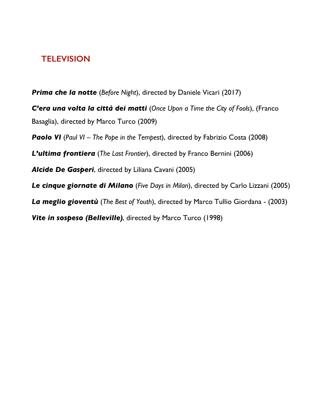## **TELEVISION**

*Prima che la notte* (*Before Night*), directed by Daniele Vicari (2017)

*C'era una volta la città dei matti* (*Once Upon a Time the City of Fools*), (Franco Basaglia), directed by Marco Turco (2009)

*Paolo VI* (*Paul VI – The Pope in the Tempest*), directed by Fabrizio Costa (2008)

*L'ultima frontiera* (*The Last Frontier*), directed by Franco Bernini (2006)

*Alcide De Gasperi*, directed by Liliana Cavani (2005)

*Le cinque giornate di Milano* (*Five Days in Milan*), directed by Carlo Lizzani (2005)

*La meglio gioventù* (*The Best of Youth*), directed by Marco Tullio Giordana - (2003)

*Vite in sospeso (Belleville)*, directed by Marco Turco (1998)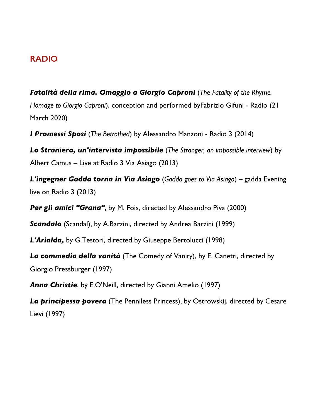### **RADIO**

*Fatalità della rima. Omaggio a Giorgio Caproni* (*The Fatality of the Rhyme. Homage to Giorgio Caproni*), conception and performed byFabrizio Gifuni - Radio (21 March 2020)

*I Promessi Sposi* (*The Betrothed*) by Alessandro Manzoni - Radio 3 (2014)

*Lo Straniero, un'intervista impossibile* (*The Stranger, an impossible interview*) by Albert Camus – Live at Radio 3 Via Asiago (2013)

*L'ingegner Gadda torna in Via Asiago* (*Gadda goes to Via Asiago*) – gadda Evening live on Radio 3 (2013)

**Per gli amici "Grana"**, by M. Fois, directed by Alessandro Piva (2000)

*Scandalo* (Scandal), by A.Barzini, directed by Andrea Barzini (1999)

*L'Arialda,* by G.Testori, directed by Giuseppe Bertolucci (1998)

*La commedia della vanità* (The Comedy of Vanity), by E. Canetti, directed by Giorgio Pressburger (1997)

*Anna Christie*, by E.O'Neill, directed by Gianni Amelio (1997)

*La principessa povera* (The Penniless Princess), by Ostrowskij, directed by Cesare Lievi (1997)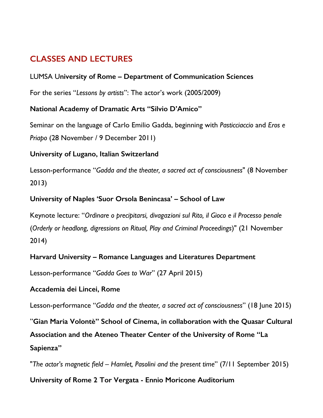# **CLASSES AND LECTURES**

#### LUMSA U**niversity of Rome – Department of Communication Sciences**

For the series "*Lessons by artists*": The actor's work (2005/2009)

#### **National Academy of Dramatic Arts "Silvio D'Amico"**

Seminar on the language of Carlo Emilio Gadda, beginning with *Pasticciaccio* and *Eros e Priapo* (28 November / 9 December 2011)

#### **University of Lugano, Italian Switzerland**

Lesson-performance "*Gadda and the theater, a sacred act of consciousness*" (8 November 2013)

#### **University of Naples 'Suor Orsola Benincasa' – School of Law**

Keynote lecture: "*Ordinare o precipitarsi, divagazioni sul Rito, il Gioco e il Processo penale* (*Orderly or headlong, digressions on Ritual, Play and Criminal Proceedings*)" (21 November 2014)

#### **Harvard University – Romance Languages and Literatures Department**

Lesson-performance "*Gadda Goes to War*" (27 April 2015)

#### **Accademia dei Lincei, Rome**

Lesson-performance "*Gadda and the theater, a sacred act of consciousness*" (18 June 2015)

"**Gian Maria Volontè" School of Cinema, in collaboration with the Quasar Cultural Association and the Ateneo Theater Center of the University of Rome "La Sapienza"** 

"*The actor's magnetic field – Hamlet, Pasolini and the present time*" (7/11 September 2015)

#### **University of Rome 2 Tor Vergata - Ennio Moricone Auditorium**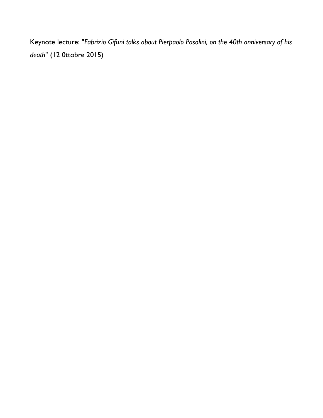Keynote lecture: "*Fabrizio Gifuni talks about Pierpaolo Pasolini, on the 40th anniversary of his death*" (12 0ttobre 2015)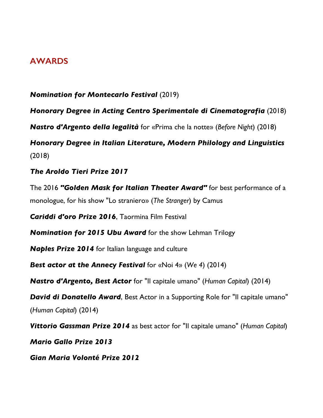## **AWARDS**

*Nomination for Montecarlo Festival* (2019) *Honorary Degree in Acting Centro Sperimentale di Cinematografia* (2018) *Nastro d'Argento della legalità* for «Prima che la notte» (*Before Night*) (2018) *Honorary Degree in Italian Literature, Modern Philology and Linguistics*  (2018) *The Aroldo Tieri Prize 2017* The 2016 *"Golden Mask for Italian Theater Award"* for best performance of a monologue, for his show "Lo straniero» (*The Stranger*) by Camus *Cariddi d'oro Prize 2016*, Taormina Film Festival *Nomination for 2015 Ubu Award* for the show Lehman Trilogy *Naples Prize 2014* for Italian language and culture *Best actor at the Annecy Festival* for «Noi 4» (*We 4*) (2014) *Nastro d'Argento, Best Actor* for "Il capitale umano" (*Human Capital*) (2014) *David di Donatello Award*, Best Actor in a Supporting Role for "Il capitale umano" (*Human Capital*) (2014) *Vittorio Gassman Prize 2014* as best actor for "Il capitale umano" (*Human Capital*) *Mario Gallo Prize 2013 Gian Maria Volonté Prize 2012*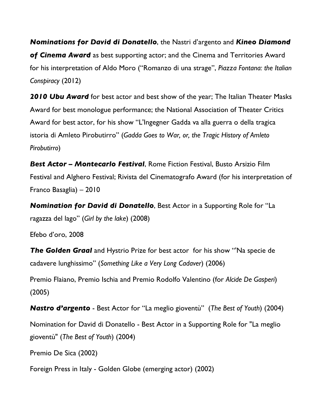*Nominations for David di Donatello*, the Nastri d'argento and *Kineo Diamond of Cinema Award* as best supporting actor; and the Cinema and Territories Award for his interpretation of Aldo Moro ("Romanzo di una strage", *Piazza Fontana: the Italian Conspiracy* (2012)

*2010 Ubu Award* for best actor and best show of the year; The Italian Theater Masks Award for best monologue performance; the National Association of Theater Critics Award for best actor, for his show "L'Ingegner Gadda va alla guerra o della tragica istoria di Amleto Pirobutirro" (*Gadda Goes to War, or, the Tragic History of Amleto Pirobutirro*)

*Best Actor – Montecarlo Festival*, Rome Fiction Festival, Busto Arsizio Film Festival and Alghero Festival; Rivista del Cinematografo Award (for his interpretation of Franco Basaglia) – 2010

*Nomination for David di Donatello*, Best Actor in a Supporting Role for "La ragazza del lago" (*Girl by the lake*) (2008)

Efebo d'oro, 2008

*The Golden Graal* and Hystrio Prize for best actor for his show "'Na specie de cadavere lunghissimo" (*Something Like a Very Long Cadaver*) (2006)

Premio Flaiano, Premio Ischia and Premio Rodolfo Valentino (for *Alcide De Gasperi*) (2005)

*Nastro d'argento* - Best Actor for "La meglio gioventù" (*The Best of Youth*) (2004)

Nomination for David di Donatello - Best Actor in a Supporting Role for "La meglio gioventù" (*The Best of Youth*) (2004)

Premio De Sica (2002)

Foreign Press in Italy - Golden Globe (emerging actor) (2002)